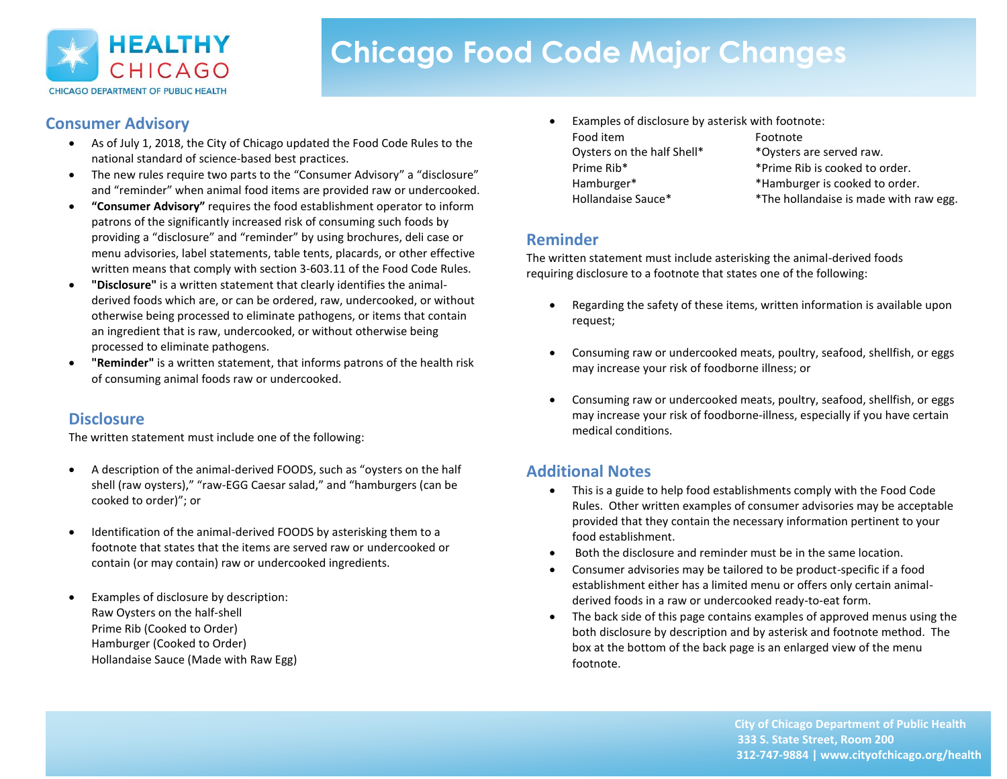

# **Chicago Food Code Major Changes**

# **Consumer Advisory**

- As of July 1, 2018, the City of Chicago updated the Food Code Rules to the national standard of science-based best practices.
- The new rules require two parts to the "Consumer Advisory" a "disclosure" and "reminder" when animal food items are provided raw or undercooked.
- **"Consumer Advisory"** requires the food establishment operator to inform patrons of the significantly increased risk of consuming such foods by providing a "disclosure" and "reminder" by using brochures, deli case or menu advisories, label statements, table tents, placards, or other effective written means that comply with section 3-603.11 of the Food Code Rules.
- **"Disclosure"** is a written statement that clearly identifies the animalderived foods which are, or can be ordered, raw, undercooked, or without otherwise being processed to eliminate pathogens, or items that contain an ingredient that is raw, undercooked, or without otherwise being processed to eliminate pathogens.
- **"Reminder"** is a written statement, that informs patrons of the health risk of consuming animal foods raw or undercooked.

# **Disclosure**

The written statement must include one of the following:

- A description of the animal-derived FOODS, such as "oysters on the half shell (raw oysters)," "raw-EGG Caesar salad," and "hamburgers (can be cooked to order)"; or
- Identification of the animal-derived FOODS by asterisking them to a footnote that states that the items are served raw or undercooked or contain (or may contain) raw or undercooked ingredients.
- Examples of disclosure by description: Raw Oysters on the half-shell Prime Rib (Cooked to Order) Hamburger (Cooked to Order) Hollandaise Sauce (Made with Raw Egg)
- Examples of disclosure by asterisk with footnote: Food item Footnote
- 

Oysters on the half Shell\* \*Oysters are served raw. Prime Rib<sup>\*</sup> \*Prime Rib is cooked to order. Hamburger\* \* \*Hamburger is cooked to order. Hollandaise Sauce\* \*\* The hollandaise is made with raw egg.

## **Reminder**

The written statement must include asterisking the animal-derived foods requiring disclosure to a footnote that states one of the following:

- Regarding the safety of these items, written information is available upon request;
- Consuming raw or undercooked meats, poultry, seafood, shellfish, or eggs may increase your risk of foodborne illness; or
- Consuming raw or undercooked meats, poultry, seafood, shellfish, or eggs may increase your risk of foodborne-illness, especially if you have certain medical conditions.

# **Additional Notes**

- This is a guide to help food establishments comply with the Food Code Rules. Other written examples of consumer advisories may be acceptable provided that they contain the necessary information pertinent to your food establishment.
- Both the disclosure and reminder must be in the same location.
- Consumer advisories may be tailored to be product-specific if a food establishment either has a limited menu or offers only certain animalderived foods in a raw or undercooked ready-to-eat form.
- The back side of this page contains examples of approved menus using the both disclosure by description and by asterisk and footnote method. The box at the bottom of the back page is an enlarged view of the menu footnote.